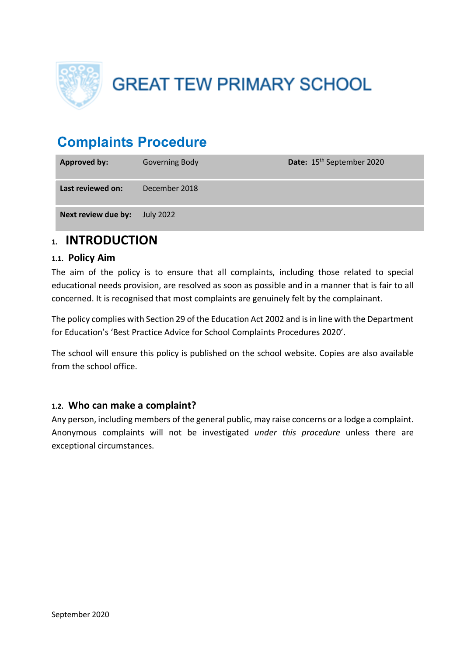

**GREAT TEW PRIMARY SCHOOL** 

# **Complaints Procedure**

| <b>Approved by:</b> | <b>Governing Body</b> | Date: 15 <sup>th</sup> September 2020 |
|---------------------|-----------------------|---------------------------------------|
| Last reviewed on:   | December 2018         |                                       |
| Next review due by: | <b>July 2022</b>      |                                       |

## **1. INTRODUCTION**

### **1.1. Policy Aim**

The aim of the policy is to ensure that all complaints, including those related to special educational needs provision, are resolved as soon as possible and in a manner that is fair to all concerned. It is recognised that most complaints are genuinely felt by the complainant.

The policy complies with Section 29 of the Education Act 2002 and is in line with the Department for Education's 'Best Practice Advice for School Complaints Procedures 2020'.

The school will ensure this policy is published on the school website. Copies are also available from the school office.

### **1.2. Who can make a complaint?**

Any person, including members of the general public, may raise concerns or a lodge a complaint. Anonymous complaints will not be investigated *under this procedure* unless there are exceptional circumstances.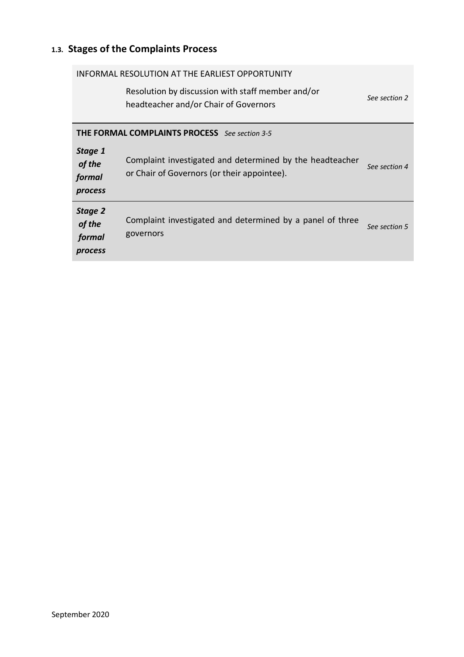# **1.3. Stages of the Complaints Process**

| INFORMAL RESOLUTION AT THE EARLIEST OPPORTUNITY      |                                                                                                         |               |  |
|------------------------------------------------------|---------------------------------------------------------------------------------------------------------|---------------|--|
|                                                      | Resolution by discussion with staff member and/or<br>headteacher and/or Chair of Governors              | See section 2 |  |
| <b>THE FORMAL COMPLAINTS PROCESS</b> See section 3-5 |                                                                                                         |               |  |
| Stage 1<br>of the<br>formal<br>process               | Complaint investigated and determined by the headteacher<br>or Chair of Governors (or their appointee). | See section 4 |  |
| Stage 2<br>of the<br>formal<br>process               | Complaint investigated and determined by a panel of three<br>governors                                  | See section 5 |  |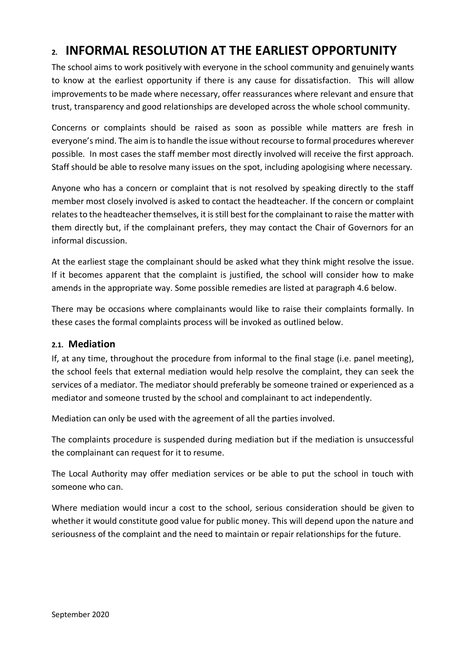# **2. INFORMAL RESOLUTION AT THE EARLIEST OPPORTUNITY**

The school aims to work positively with everyone in the school community and genuinely wants to know at the earliest opportunity if there is any cause for dissatisfaction. This will allow improvements to be made where necessary, offer reassurances where relevant and ensure that trust, transparency and good relationships are developed across the whole school community.

Concerns or complaints should be raised as soon as possible while matters are fresh in everyone's mind. The aim is to handle the issue without recourse to formal procedures wherever possible. In most cases the staff member most directly involved will receive the first approach. Staff should be able to resolve many issues on the spot, including apologising where necessary.

Anyone who has a concern or complaint that is not resolved by speaking directly to the staff member most closely involved is asked to contact the headteacher. If the concern or complaint relates to the headteacher themselves, it is still best for the complainant to raise the matter with them directly but, if the complainant prefers, they may contact the Chair of Governors for an informal discussion.

At the earliest stage the complainant should be asked what they think might resolve the issue. If it becomes apparent that the complaint is justified, the school will consider how to make amends in the appropriate way. Some possible remedies are listed at paragraph 4.6 below.

There may be occasions where complainants would like to raise their complaints formally. In these cases the formal complaints process will be invoked as outlined below.

#### **2.1. Mediation**

If, at any time, throughout the procedure from informal to the final stage (i.e. panel meeting), the school feels that external mediation would help resolve the complaint, they can seek the services of a mediator. The mediator should preferably be someone trained or experienced as a mediator and someone trusted by the school and complainant to act independently.

Mediation can only be used with the agreement of all the parties involved.

The complaints procedure is suspended during mediation but if the mediation is unsuccessful the complainant can request for it to resume.

The Local Authority may offer mediation services or be able to put the school in touch with someone who can.

Where mediation would incur a cost to the school, serious consideration should be given to whether it would constitute good value for public money. This will depend upon the nature and seriousness of the complaint and the need to maintain or repair relationships for the future.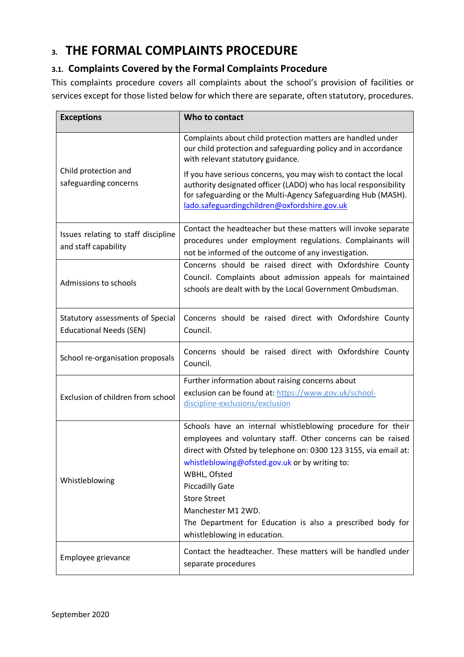# **3. THE FORMAL COMPLAINTS PROCEDURE**

## **3.1. Complaints Covered by the Formal Complaints Procedure**

This complaints procedure covers all complaints about the school's provision of facilities or services except for those listed below for which there are separate, often statutory, procedures.

| <b>Exceptions</b>                                                  | Who to contact                                                                                                                                                                                                                                                                                                                                                                                                                        |  |
|--------------------------------------------------------------------|---------------------------------------------------------------------------------------------------------------------------------------------------------------------------------------------------------------------------------------------------------------------------------------------------------------------------------------------------------------------------------------------------------------------------------------|--|
|                                                                    | Complaints about child protection matters are handled under<br>our child protection and safeguarding policy and in accordance<br>with relevant statutory guidance.                                                                                                                                                                                                                                                                    |  |
| Child protection and<br>safeguarding concerns                      | If you have serious concerns, you may wish to contact the local<br>authority designated officer (LADO) who has local responsibility<br>for safeguarding or the Multi-Agency Safeguarding Hub (MASH).<br>lado.safeguardingchildren@oxfordshire.gov.uk                                                                                                                                                                                  |  |
| Issues relating to staff discipline<br>and staff capability        | Contact the headteacher but these matters will invoke separate<br>procedures under employment regulations. Complainants will<br>not be informed of the outcome of any investigation.                                                                                                                                                                                                                                                  |  |
| Admissions to schools                                              | Concerns should be raised direct with Oxfordshire County<br>Council. Complaints about admission appeals for maintained<br>schools are dealt with by the Local Government Ombudsman.                                                                                                                                                                                                                                                   |  |
| Statutory assessments of Special<br><b>Educational Needs (SEN)</b> | Concerns should be raised direct with Oxfordshire County<br>Council.                                                                                                                                                                                                                                                                                                                                                                  |  |
| School re-organisation proposals                                   | Concerns should be raised direct with Oxfordshire County<br>Council.                                                                                                                                                                                                                                                                                                                                                                  |  |
| Exclusion of children from school                                  | Further information about raising concerns about<br>exclusion can be found at: https://www.gov.uk/school-<br>discipline-exclusions/exclusion                                                                                                                                                                                                                                                                                          |  |
| Whistleblowing                                                     | Schools have an internal whistleblowing procedure for their<br>employees and voluntary staff. Other concerns can be raised<br>direct with Ofsted by telephone on: 0300 123 3155, via email at:<br>whistleblowing@ofsted.gov.uk or by writing to:<br>WBHL, Ofsted<br><b>Piccadilly Gate</b><br><b>Store Street</b><br>Manchester M1 2WD.<br>The Department for Education is also a prescribed body for<br>whistleblowing in education. |  |
| Employee grievance                                                 | Contact the headteacher. These matters will be handled under<br>separate procedures                                                                                                                                                                                                                                                                                                                                                   |  |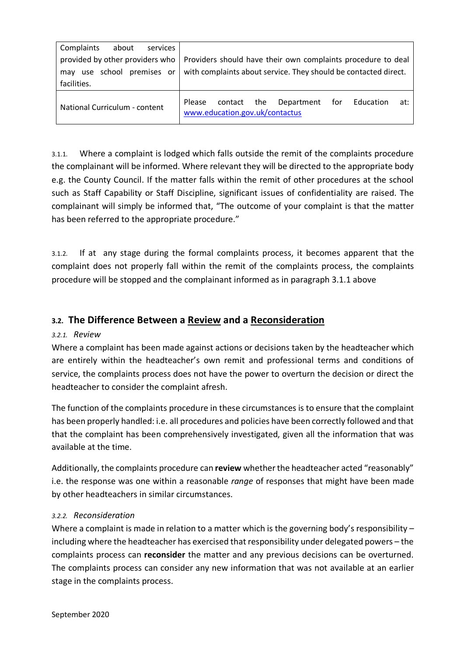| Complaints<br>about<br>services |                                                                                                     |  |  |  |
|---------------------------------|-----------------------------------------------------------------------------------------------------|--|--|--|
| provided by other providers who | Providers should have their own complaints procedure to deal                                        |  |  |  |
| use school premises or<br>may   | with complaints about service. They should be contacted direct.                                     |  |  |  |
| facilities.                     |                                                                                                     |  |  |  |
| National Curriculum - content   | Department<br>the<br>for<br>Education<br>Please<br>contact<br>at:<br>www.education.gov.uk/contactus |  |  |  |

3.1.1. Where a complaint is lodged which falls outside the remit of the complaints procedure the complainant will be informed. Where relevant they will be directed to the appropriate body e.g. the County Council. If the matter falls within the remit of other procedures at the school such as Staff Capability or Staff Discipline, significant issues of confidentiality are raised. The complainant will simply be informed that, "The outcome of your complaint is that the matter has been referred to the appropriate procedure."

3.1.2. If at any stage during the formal complaints process, it becomes apparent that the complaint does not properly fall within the remit of the complaints process, the complaints procedure will be stopped and the complainant informed as in paragraph 3.1.1 above

## **3.2. The Difference Between a Review and a Reconsideration**

#### *3.2.1. Review*

Where a complaint has been made against actions or decisions taken by the headteacher which are entirely within the headteacher's own remit and professional terms and conditions of service, the complaints process does not have the power to overturn the decision or direct the headteacher to consider the complaint afresh.

The function of the complaints procedure in these circumstances is to ensure that the complaint has been properly handled: i.e. all procedures and policies have been correctly followed and that that the complaint has been comprehensively investigated, given all the information that was available at the time.

Additionally, the complaints procedure can **review** whether the headteacher acted "reasonably" i.e. the response was one within a reasonable *range* of responses that might have been made by other headteachers in similar circumstances.

#### *3.2.2. Reconsideration*

Where a complaint is made in relation to a matter which is the governing body's responsibility including where the headteacher has exercised that responsibility under delegated powers – the complaints process can **reconsider** the matter and any previous decisions can be overturned. The complaints process can consider any new information that was not available at an earlier stage in the complaints process.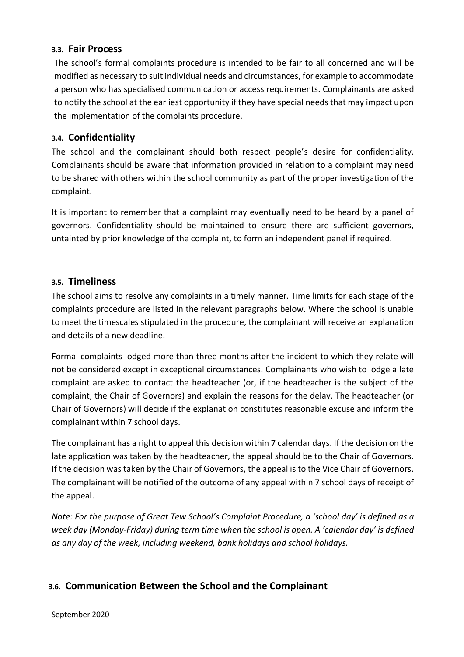#### **3.3. Fair Process**

The school's formal complaints procedure is intended to be fair to all concerned and will be modified as necessary to suit individual needs and circumstances, for example to accommodate a person who has specialised communication or access requirements. Complainants are asked to notify the school at the earliest opportunity if they have special needs that may impact upon the implementation of the complaints procedure.

### **3.4. Confidentiality**

The school and the complainant should both respect people's desire for confidentiality. Complainants should be aware that information provided in relation to a complaint may need to be shared with others within the school community as part of the proper investigation of the complaint.

It is important to remember that a complaint may eventually need to be heard by a panel of governors. Confidentiality should be maintained to ensure there are sufficient governors, untainted by prior knowledge of the complaint, to form an independent panel if required.

#### **3.5. Timeliness**

The school aims to resolve any complaints in a timely manner. Time limits for each stage of the complaints procedure are listed in the relevant paragraphs below. Where the school is unable to meet the timescales stipulated in the procedure, the complainant will receive an explanation and details of a new deadline.

Formal complaints lodged more than three months after the incident to which they relate will not be considered except in exceptional circumstances. Complainants who wish to lodge a late complaint are asked to contact the headteacher (or, if the headteacher is the subject of the complaint, the Chair of Governors) and explain the reasons for the delay. The headteacher (or Chair of Governors) will decide if the explanation constitutes reasonable excuse and inform the complainant within 7 school days.

The complainant has a right to appeal this decision within 7 calendar days. If the decision on the late application was taken by the headteacher, the appeal should be to the Chair of Governors. If the decision was taken by the Chair of Governors, the appeal is to the Vice Chair of Governors. The complainant will be notified of the outcome of any appeal within 7 school days of receipt of the appeal.

*Note: For the purpose of Great Tew School's Complaint Procedure, a 'school day' is defined as a week day (Monday-Friday) during term time when the school is open. A 'calendar day' is defined as any day of the week, including weekend, bank holidays and school holidays.*

## **3.6. Communication Between the School and the Complainant**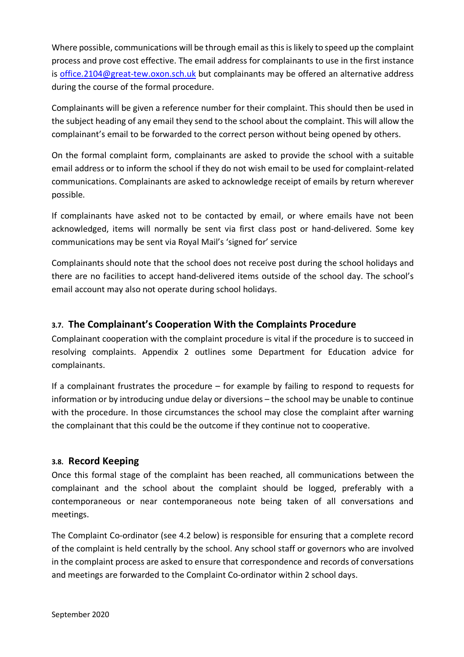Where possible, communications will be through email as this is likely to speed up the complaint process and prove cost effective. The email address for complainants to use in the first instance is office.2104@great-tew.oxon.sch.uk but complainants may be offered an alternative address during the course of the formal procedure.

Complainants will be given a reference number for their complaint. This should then be used in the subject heading of any email they send to the school about the complaint. This will allow the complainant's email to be forwarded to the correct person without being opened by others.

On the formal complaint form, complainants are asked to provide the school with a suitable email address or to inform the school if they do not wish email to be used for complaint-related communications. Complainants are asked to acknowledge receipt of emails by return wherever possible.

If complainants have asked not to be contacted by email, or where emails have not been acknowledged, items will normally be sent via first class post or hand-delivered. Some key communications may be sent via Royal Mail's 'signed for' service

Complainants should note that the school does not receive post during the school holidays and there are no facilities to accept hand-delivered items outside of the school day. The school's email account may also not operate during school holidays.

## **3.7. The Complainant's Cooperation With the Complaints Procedure**

Complainant cooperation with the complaint procedure is vital if the procedure is to succeed in resolving complaints. Appendix 2 outlines some Department for Education advice for complainants.

If a complainant frustrates the procedure – for example by failing to respond to requests for information or by introducing undue delay or diversions – the school may be unable to continue with the procedure. In those circumstances the school may close the complaint after warning the complainant that this could be the outcome if they continue not to cooperative.

### **3.8. Record Keeping**

Once this formal stage of the complaint has been reached, all communications between the complainant and the school about the complaint should be logged, preferably with a contemporaneous or near contemporaneous note being taken of all conversations and meetings.

The Complaint Co-ordinator (see 4.2 below) is responsible for ensuring that a complete record of the complaint is held centrally by the school. Any school staff or governors who are involved in the complaint process are asked to ensure that correspondence and records of conversations and meetings are forwarded to the Complaint Co-ordinator within 2 school days.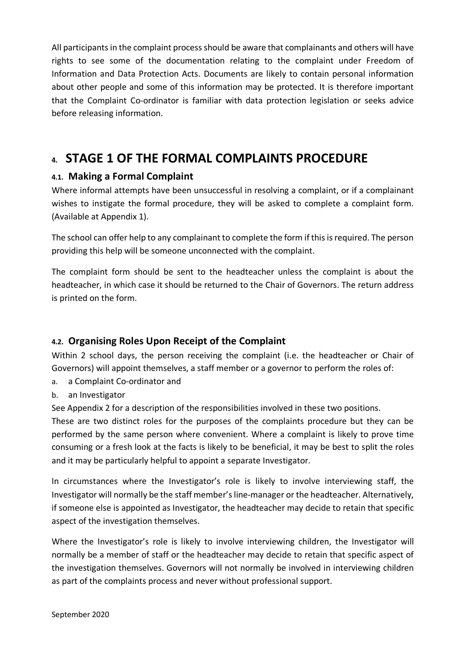All participants in the complaint process should be aware that complainants and others will have rights to see some of the documentation relating to the complaint under Freedom of Information and Data Protection Acts. Documents are likely to contain personal information about other people and some of this information may be protected. It is therefore important that the Complaint Co-ordinator is familiar with data protection legislation or seeks advice before releasing information.

## **4. STAGE 1 OF THE FORMAL COMPLAINTS PROCEDURE**

## **4.1. Making a Formal Complaint**

Where informal attempts have been unsuccessful in resolving a complaint, or if a complainant wishes to instigate the formal procedure, they will be asked to complete a complaint form. (Available at Appendix 1).

The school can offer help to any complainant to complete the form if this is required. The person providing this help will be someone unconnected with the complaint.

The complaint form should be sent to the headteacher unless the complaint is about the headteacher, in which case it should be returned to the Chair of Governors. The return address is printed on the form.

## **4.2. Organising Roles Upon Receipt of the Complaint**

Within 2 school days, the person receiving the complaint (i.e. the headteacher or Chair of Governors) will appoint themselves, a staff member or a governor to perform the roles of:

- a. a Complaint Co-ordinator and
- b. an Investigator

See Appendix 2 for a description of the responsibilities involved in these two positions.

These are two distinct roles for the purposes of the complaints procedure but they can be performed by the same person where convenient. Where a complaint is likely to prove time consuming or a fresh look at the facts is likely to be beneficial, it may be best to split the roles and it may be particularly helpful to appoint a separate Investigator.

In circumstances where the Investigator's role is likely to involve interviewing staff, the Investigator will normally be the staff member'sline-manager or the headteacher. Alternatively, if someone else is appointed as Investigator, the headteacher may decide to retain that specific aspect of the investigation themselves.

Where the Investigator's role is likely to involve interviewing children, the Investigator will normally be a member of staff or the headteacher may decide to retain that specific aspect of the investigation themselves. Governors will not normally be involved in interviewing children as part of the complaints process and never without professional support.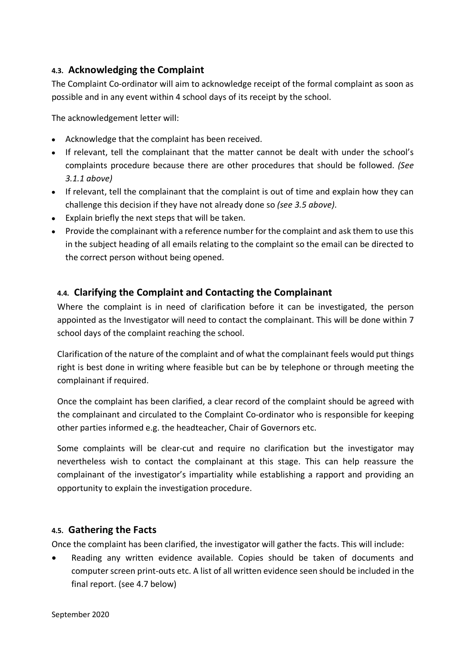## **4.3. Acknowledging the Complaint**

The Complaint Co-ordinator will aim to acknowledge receipt of the formal complaint as soon as possible and in any event within 4 school days of its receipt by the school.

The acknowledgement letter will:

- Acknowledge that the complaint has been received.
- If relevant, tell the complainant that the matter cannot be dealt with under the school's complaints procedure because there are other procedures that should be followed. *(See 3.1.1 above)*
- If relevant, tell the complainant that the complaint is out of time and explain how they can challenge this decision if they have not already done so *(see 3.5 above)*.
- Explain briefly the next steps that will be taken.
- Provide the complainant with a reference number for the complaint and ask them to use this in the subject heading of all emails relating to the complaint so the email can be directed to the correct person without being opened.

## **4.4. Clarifying the Complaint and Contacting the Complainant**

Where the complaint is in need of clarification before it can be investigated, the person appointed as the Investigator will need to contact the complainant. This will be done within 7 school days of the complaint reaching the school.

Clarification of the nature of the complaint and of what the complainant feels would put things right is best done in writing where feasible but can be by telephone or through meeting the complainant if required.

Once the complaint has been clarified, a clear record of the complaint should be agreed with the complainant and circulated to the Complaint Co-ordinator who is responsible for keeping other parties informed e.g. the headteacher, Chair of Governors etc.

Some complaints will be clear-cut and require no clarification but the investigator may nevertheless wish to contact the complainant at this stage. This can help reassure the complainant of the investigator's impartiality while establishing a rapport and providing an opportunity to explain the investigation procedure.

### **4.5. Gathering the Facts**

Once the complaint has been clarified, the investigator will gather the facts. This will include:

• Reading any written evidence available. Copies should be taken of documents and computer screen print-outs etc. A list of all written evidence seen should be included in the final report. (see 4.7 below)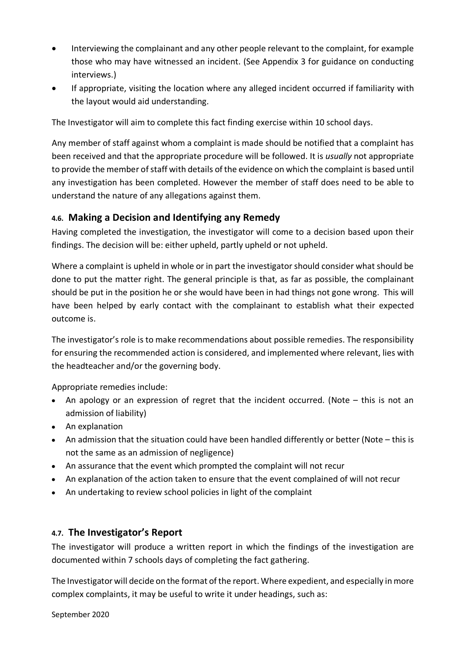- Interviewing the complainant and any other people relevant to the complaint, for example those who may have witnessed an incident. (See Appendix 3 for guidance on conducting interviews.)
- If appropriate, visiting the location where any alleged incident occurred if familiarity with the layout would aid understanding.

The Investigator will aim to complete this fact finding exercise within 10 school days.

Any member of staff against whom a complaint is made should be notified that a complaint has been received and that the appropriate procedure will be followed. It is *usually* not appropriate to provide the member of staff with details of the evidence on which the complaint is based until any investigation has been completed. However the member of staff does need to be able to understand the nature of any allegations against them.

## **4.6. Making a Decision and Identifying any Remedy**

Having completed the investigation, the investigator will come to a decision based upon their findings. The decision will be: either upheld, partly upheld or not upheld.

Where a complaint is upheld in whole or in part the investigator should consider what should be done to put the matter right. The general principle is that, as far as possible, the complainant should be put in the position he or she would have been in had things not gone wrong. This will have been helped by early contact with the complainant to establish what their expected outcome is.

The investigator's role is to make recommendations about possible remedies. The responsibility for ensuring the recommended action is considered, and implemented where relevant, lies with the headteacher and/or the governing body.

Appropriate remedies include:

- An apology or an expression of regret that the incident occurred. (Note this is not an admission of liability)
- An explanation
- An admission that the situation could have been handled differently or better (Note this is not the same as an admission of negligence)
- An assurance that the event which prompted the complaint will not recur
- An explanation of the action taken to ensure that the event complained of will not recur
- An undertaking to review school policies in light of the complaint

### **4.7. The Investigator's Report**

The investigator will produce a written report in which the findings of the investigation are documented within 7 schools days of completing the fact gathering.

The Investigator will decide on the format of the report. Where expedient, and especially in more complex complaints, it may be useful to write it under headings, such as:

September 2020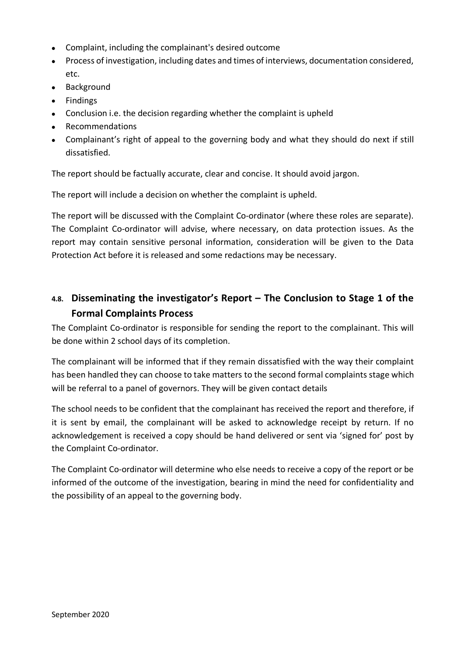- Complaint, including the complainant's desired outcome
- Process of investigation, including dates and times of interviews, documentation considered, etc.
- Background
- Findings
- Conclusion i.e. the decision regarding whether the complaint is upheld
- Recommendations
- Complainant's right of appeal to the governing body and what they should do next if still dissatisfied.

The report should be factually accurate, clear and concise. It should avoid jargon.

The report will include a decision on whether the complaint is upheld.

The report will be discussed with the Complaint Co-ordinator (where these roles are separate). The Complaint Co-ordinator will advise, where necessary, on data protection issues. As the report may contain sensitive personal information, consideration will be given to the Data Protection Act before it is released and some redactions may be necessary.

## **4.8. Disseminating the investigator's Report – The Conclusion to Stage 1 of the Formal Complaints Process**

The Complaint Co-ordinator is responsible for sending the report to the complainant. This will be done within 2 school days of its completion.

The complainant will be informed that if they remain dissatisfied with the way their complaint has been handled they can choose to take matters to the second formal complaints stage which will be referral to a panel of governors. They will be given contact details

The school needs to be confident that the complainant has received the report and therefore, if it is sent by email, the complainant will be asked to acknowledge receipt by return. If no acknowledgement is received a copy should be hand delivered or sent via 'signed for' post by the Complaint Co-ordinator.

The Complaint Co-ordinator will determine who else needs to receive a copy of the report or be informed of the outcome of the investigation, bearing in mind the need for confidentiality and the possibility of an appeal to the governing body.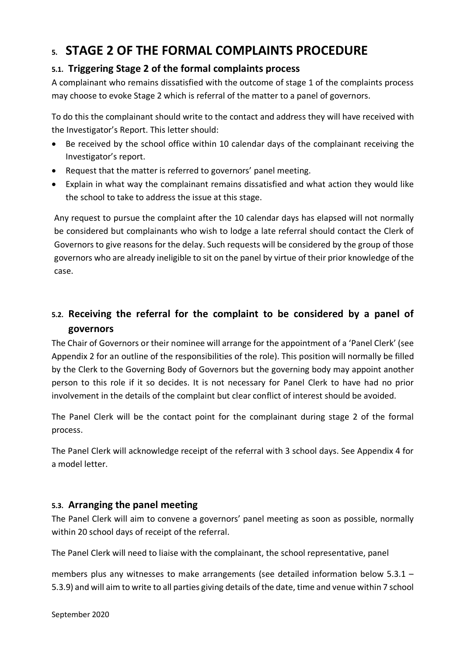# **5. STAGE 2 OF THE FORMAL COMPLAINTS PROCEDURE**

## **5.1. Triggering Stage 2 of the formal complaints process**

A complainant who remains dissatisfied with the outcome of stage 1 of the complaints process may choose to evoke Stage 2 which is referral of the matter to a panel of governors.

To do this the complainant should write to the contact and address they will have received with the Investigator's Report. This letter should:

- Be received by the school office within 10 calendar days of the complainant receiving the Investigator's report.
- Request that the matter is referred to governors' panel meeting.
- Explain in what way the complainant remains dissatisfied and what action they would like the school to take to address the issue at this stage.

Any request to pursue the complaint after the 10 calendar days has elapsed will not normally be considered but complainants who wish to lodge a late referral should contact the Clerk of Governors to give reasons for the delay. Such requests will be considered by the group of those governors who are already ineligible to sit on the panel by virtue of their prior knowledge of the case.

## **5.2. Receiving the referral for the complaint to be considered by a panel of governors**

The Chair of Governors or their nominee will arrange for the appointment of a 'Panel Clerk' (see Appendix 2 for an outline of the responsibilities of the role). This position will normally be filled by the Clerk to the Governing Body of Governors but the governing body may appoint another person to this role if it so decides. It is not necessary for Panel Clerk to have had no prior involvement in the details of the complaint but clear conflict of interest should be avoided.

The Panel Clerk will be the contact point for the complainant during stage 2 of the formal process.

The Panel Clerk will acknowledge receipt of the referral with 3 school days. See Appendix 4 for a model letter.

### **5.3. Arranging the panel meeting**

The Panel Clerk will aim to convene a governors' panel meeting as soon as possible, normally within 20 school days of receipt of the referral.

The Panel Clerk will need to liaise with the complainant, the school representative, panel

members plus any witnesses to make arrangements (see detailed information below 5.3.1 – 5.3.9) and will aim to write to all parties giving details of the date, time and venue within 7 school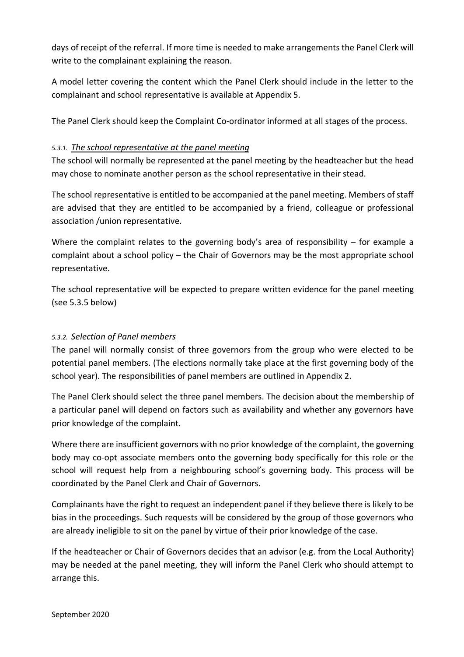days of receipt of the referral. If more time is needed to make arrangements the Panel Clerk will write to the complainant explaining the reason.

A model letter covering the content which the Panel Clerk should include in the letter to the complainant and school representative is available at Appendix 5.

The Panel Clerk should keep the Complaint Co-ordinator informed at all stages of the process.

#### *5.3.1. The school representative at the panel meeting*

The school will normally be represented at the panel meeting by the headteacher but the head may chose to nominate another person as the school representative in their stead.

The school representative is entitled to be accompanied at the panel meeting. Members of staff are advised that they are entitled to be accompanied by a friend, colleague or professional association /union representative.

Where the complaint relates to the governing body's area of responsibility  $-$  for example a complaint about a school policy – the Chair of Governors may be the most appropriate school representative.

The school representative will be expected to prepare written evidence for the panel meeting (see 5.3.5 below)

### *5.3.2. Selection of Panel members*

The panel will normally consist of three governors from the group who were elected to be potential panel members. (The elections normally take place at the first governing body of the school year). The responsibilities of panel members are outlined in Appendix 2.

The Panel Clerk should select the three panel members. The decision about the membership of a particular panel will depend on factors such as availability and whether any governors have prior knowledge of the complaint.

Where there are insufficient governors with no prior knowledge of the complaint, the governing body may co-opt associate members onto the governing body specifically for this role or the school will request help from a neighbouring school's governing body. This process will be coordinated by the Panel Clerk and Chair of Governors.

Complainants have the right to request an independent panel if they believe there is likely to be bias in the proceedings. Such requests will be considered by the group of those governors who are already ineligible to sit on the panel by virtue of their prior knowledge of the case.

If the headteacher or Chair of Governors decides that an advisor (e.g. from the Local Authority) may be needed at the panel meeting, they will inform the Panel Clerk who should attempt to arrange this.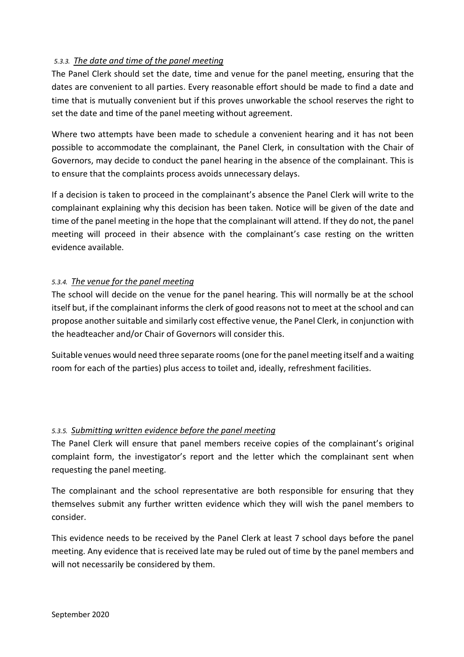#### *5.3.3. The date and time of the panel meeting*

The Panel Clerk should set the date, time and venue for the panel meeting, ensuring that the dates are convenient to all parties. Every reasonable effort should be made to find a date and time that is mutually convenient but if this proves unworkable the school reserves the right to set the date and time of the panel meeting without agreement.

Where two attempts have been made to schedule a convenient hearing and it has not been possible to accommodate the complainant, the Panel Clerk, in consultation with the Chair of Governors, may decide to conduct the panel hearing in the absence of the complainant. This is to ensure that the complaints process avoids unnecessary delays.

If a decision is taken to proceed in the complainant's absence the Panel Clerk will write to the complainant explaining why this decision has been taken. Notice will be given of the date and time of the panel meeting in the hope that the complainant will attend. If they do not, the panel meeting will proceed in their absence with the complainant's case resting on the written evidence available.

#### *5.3.4. The venue for the panel meeting*

The school will decide on the venue for the panel hearing. This will normally be at the school itself but, if the complainant informs the clerk of good reasons not to meet at the school and can propose another suitable and similarly cost effective venue, the Panel Clerk, in conjunction with the headteacher and/or Chair of Governors will consider this.

Suitable venues would need three separate rooms (one for the panel meeting itself and a waiting room for each of the parties) plus access to toilet and, ideally, refreshment facilities.

#### *5.3.5. Submitting written evidence before the panel meeting*

The Panel Clerk will ensure that panel members receive copies of the complainant's original complaint form, the investigator's report and the letter which the complainant sent when requesting the panel meeting.

The complainant and the school representative are both responsible for ensuring that they themselves submit any further written evidence which they will wish the panel members to consider.

This evidence needs to be received by the Panel Clerk at least 7 school days before the panel meeting. Any evidence that is received late may be ruled out of time by the panel members and will not necessarily be considered by them.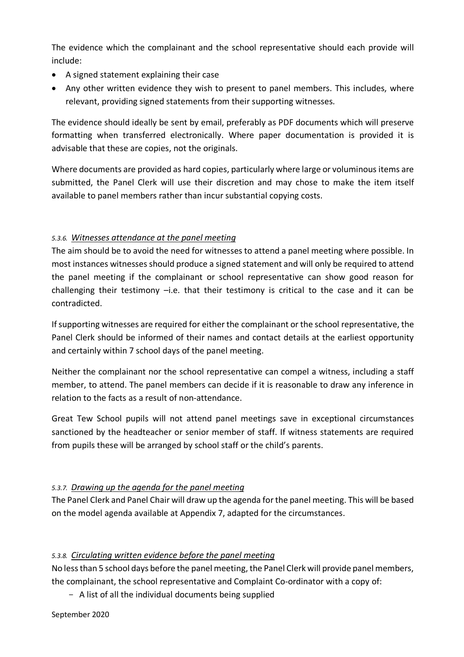The evidence which the complainant and the school representative should each provide will include:

- A signed statement explaining their case
- Any other written evidence they wish to present to panel members. This includes, where relevant, providing signed statements from their supporting witnesses.

The evidence should ideally be sent by email, preferably as PDF documents which will preserve formatting when transferred electronically. Where paper documentation is provided it is advisable that these are copies, not the originals.

Where documents are provided as hard copies, particularly where large or voluminous items are submitted, the Panel Clerk will use their discretion and may chose to make the item itself available to panel members rather than incur substantial copying costs.

## *5.3.6. Witnesses attendance at the panel meeting*

The aim should be to avoid the need for witnesses to attend a panel meeting where possible. In most instances witnesses should produce a signed statement and will only be required to attend the panel meeting if the complainant or school representative can show good reason for challenging their testimony  $-i.e.$  that their testimony is critical to the case and it can be contradicted.

If supporting witnesses are required for either the complainant or the school representative, the Panel Clerk should be informed of their names and contact details at the earliest opportunity and certainly within 7 school days of the panel meeting.

Neither the complainant nor the school representative can compel a witness, including a staff member, to attend. The panel members can decide if it is reasonable to draw any inference in relation to the facts as a result of non-attendance.

Great Tew School pupils will not attend panel meetings save in exceptional circumstances sanctioned by the headteacher or senior member of staff. If witness statements are required from pupils these will be arranged by school staff or the child's parents.

### *5.3.7. Drawing up the agenda for the panel meeting*

The Panel Clerk and Panel Chair will draw up the agenda for the panel meeting. This will be based on the model agenda available at Appendix 7, adapted for the circumstances.

### *5.3.8. Circulating written evidence before the panel meeting*

No less than 5 school days before the panel meeting, the Panel Clerk will provide panel members, the complainant, the school representative and Complaint Co-ordinator with a copy of:

- A list of all the individual documents being supplied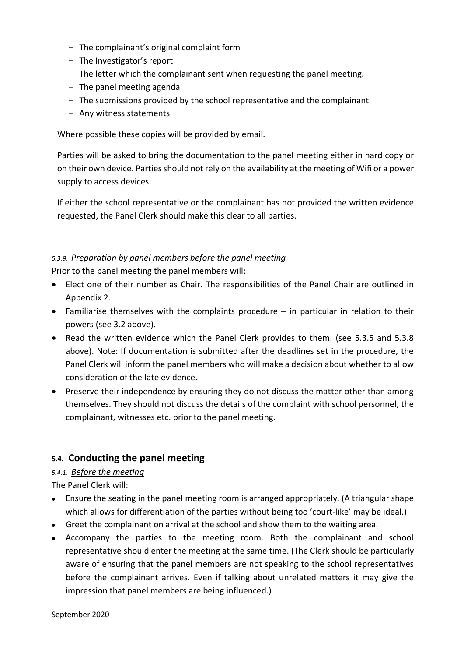- The complainant's original complaint form
- The Investigator's report
- The letter which the complainant sent when requesting the panel meeting.
- The panel meeting agenda
- The submissions provided by the school representative and the complainant
- Any witness statements

Where possible these copies will be provided by email.

Parties will be asked to bring the documentation to the panel meeting either in hard copy or on their own device. Parties should not rely on the availability at the meeting of Wifi or a power supply to access devices.

If either the school representative or the complainant has not provided the written evidence requested, the Panel Clerk should make this clear to all parties.

#### *5.3.9. Preparation by panel members before the panel meeting*

Prior to the panel meeting the panel members will:

- Elect one of their number as Chair. The responsibilities of the Panel Chair are outlined in Appendix 2.
- Familiarise themselves with the complaints procedure in particular in relation to their powers (see 3.2 above).
- Read the written evidence which the Panel Clerk provides to them. (see 5.3.5 and 5.3.8 above). Note: If documentation is submitted after the deadlines set in the procedure, the Panel Clerk will inform the panel members who will make a decision about whether to allow consideration of the late evidence.
- Preserve their independence by ensuring they do not discuss the matter other than among themselves. They should not discuss the details of the complaint with school personnel, the complainant, witnesses etc. prior to the panel meeting.

### **5.4. Conducting the panel meeting**

#### *5.4.1. Before the meeting*

The Panel Clerk will:

- Ensure the seating in the panel meeting room is arranged appropriately. (A triangular shape which allows for differentiation of the parties without being too 'court-like' may be ideal.)
- Greet the complainant on arrival at the school and show them to the waiting area.
- Accompany the parties to the meeting room. Both the complainant and school representative should enter the meeting at the same time. (The Clerk should be particularly aware of ensuring that the panel members are not speaking to the school representatives before the complainant arrives. Even if talking about unrelated matters it may give the impression that panel members are being influenced.)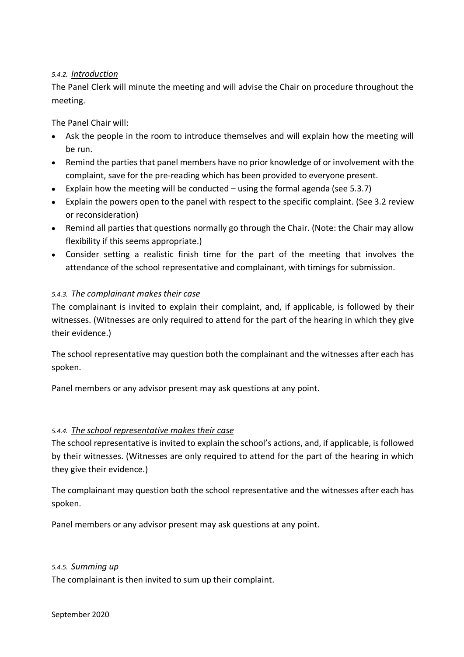#### *5.4.2. Introduction*

The Panel Clerk will minute the meeting and will advise the Chair on procedure throughout the meeting.

The Panel Chair will:

- Ask the people in the room to introduce themselves and will explain how the meeting will be run.
- Remind the parties that panel members have no prior knowledge of or involvement with the complaint, save for the pre-reading which has been provided to everyone present.
- Explain how the meeting will be conducted using the formal agenda (see 5.3.7)
- Explain the powers open to the panel with respect to the specific complaint. (See 3.2 review or reconsideration)
- Remind all parties that questions normally go through the Chair. (Note: the Chair may allow flexibility if this seems appropriate.)
- Consider setting a realistic finish time for the part of the meeting that involves the attendance of the school representative and complainant, with timings for submission.

#### *5.4.3. The complainant makes their case*

The complainant is invited to explain their complaint, and, if applicable, is followed by their witnesses. (Witnesses are only required to attend for the part of the hearing in which they give their evidence.)

The school representative may question both the complainant and the witnesses after each has spoken.

Panel members or any advisor present may ask questions at any point.

#### *5.4.4. The school representative makes their case*

The school representative is invited to explain the school's actions, and, if applicable, is followed by their witnesses. (Witnesses are only required to attend for the part of the hearing in which they give their evidence.)

The complainant may question both the school representative and the witnesses after each has spoken.

Panel members or any advisor present may ask questions at any point.

#### *5.4.5. Summing up*

The complainant is then invited to sum up their complaint.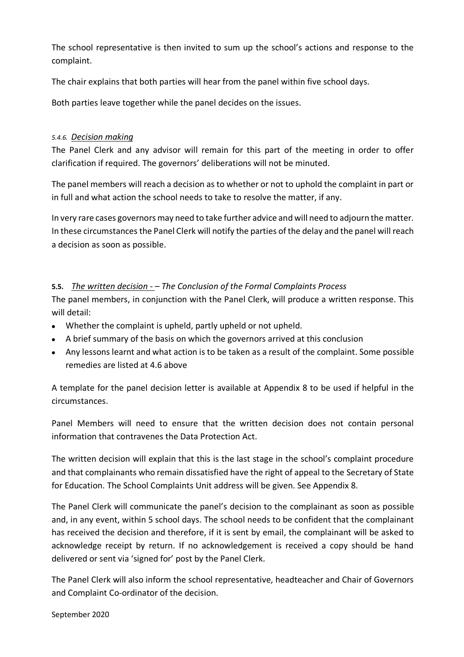The school representative is then invited to sum up the school's actions and response to the complaint.

The chair explains that both parties will hear from the panel within five school days.

Both parties leave together while the panel decides on the issues.

#### *5.4.6. Decision making*

The Panel Clerk and any advisor will remain for this part of the meeting in order to offer clarification if required. The governors' deliberations will not be minuted.

The panel members will reach a decision as to whether or not to uphold the complaint in part or in full and what action the school needs to take to resolve the matter, if any.

In very rare cases governors may need to take further advice and will need to adjourn the matter. In these circumstances the Panel Clerk will notify the parties of the delay and the panel will reach a decision as soon as possible.

#### **5.5.** *The written decision - – The Conclusion of the Formal Complaints Process*

The panel members, in conjunction with the Panel Clerk, will produce a written response. This will detail:

- Whether the complaint is upheld, partly upheld or not upheld.
- A brief summary of the basis on which the governors arrived at this conclusion
- Any lessons learnt and what action is to be taken as a result of the complaint. Some possible remedies are listed at 4.6 above

A template for the panel decision letter is available at Appendix 8 to be used if helpful in the circumstances.

Panel Members will need to ensure that the written decision does not contain personal information that contravenes the Data Protection Act.

The written decision will explain that this is the last stage in the school's complaint procedure and that complainants who remain dissatisfied have the right of appeal to the Secretary of State for Education. The School Complaints Unit address will be given. See Appendix 8.

The Panel Clerk will communicate the panel's decision to the complainant as soon as possible and, in any event, within 5 school days. The school needs to be confident that the complainant has received the decision and therefore, if it is sent by email, the complainant will be asked to acknowledge receipt by return. If no acknowledgement is received a copy should be hand delivered or sent via 'signed for' post by the Panel Clerk.

The Panel Clerk will also inform the school representative, headteacher and Chair of Governors and Complaint Co-ordinator of the decision.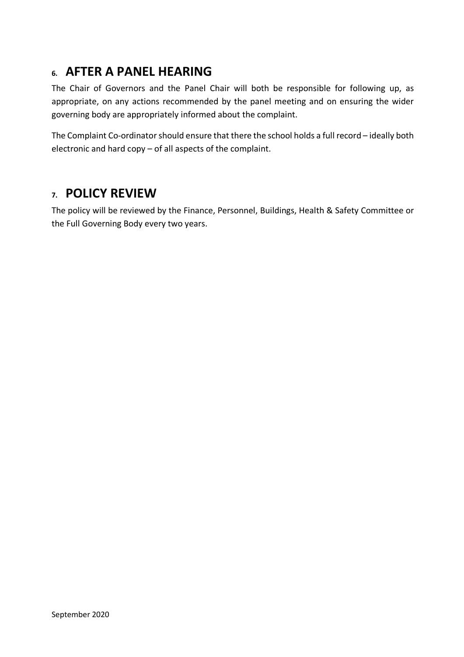## **6. AFTER A PANEL HEARING**

The Chair of Governors and the Panel Chair will both be responsible for following up, as appropriate, on any actions recommended by the panel meeting and on ensuring the wider governing body are appropriately informed about the complaint.

The Complaint Co-ordinator should ensure that there the school holds a full record – ideally both electronic and hard copy – of all aspects of the complaint.

## **7. POLICY REVIEW**

The policy will be reviewed by the Finance, Personnel, Buildings, Health & Safety Committee or the Full Governing Body every two years.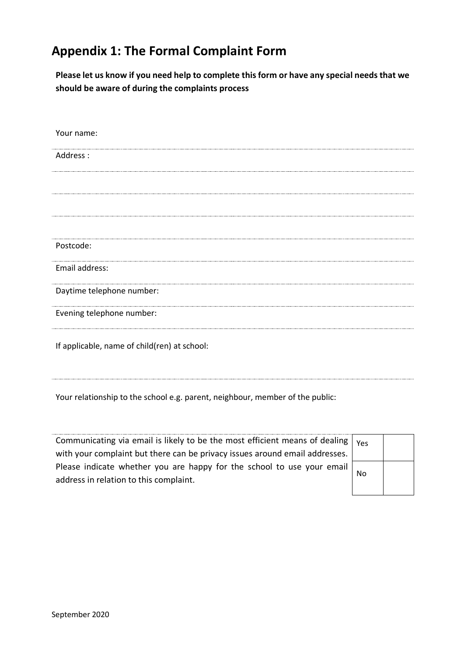# **Appendix 1: The Formal Complaint Form**

**Please let us know if you need help to complete this form or have any special needs that we should be aware of during the complaints process**

| Your name:                                   |
|----------------------------------------------|
| Address:                                     |
|                                              |
|                                              |
|                                              |
|                                              |
| Postcode:                                    |
| Email address:                               |
| Daytime telephone number:                    |
| Evening telephone number:                    |
| If applicable, name of child(ren) at school: |

Your relationship to the school e.g. parent, neighbour, member of the public:

Communicating via email is likely to be the most efficient means of dealing with your complaint but there can be privacy issues around email addresses. Please indicate whether you are happy for the school to use your email address in relation to this complaint.

| Yes |  |
|-----|--|
| No  |  |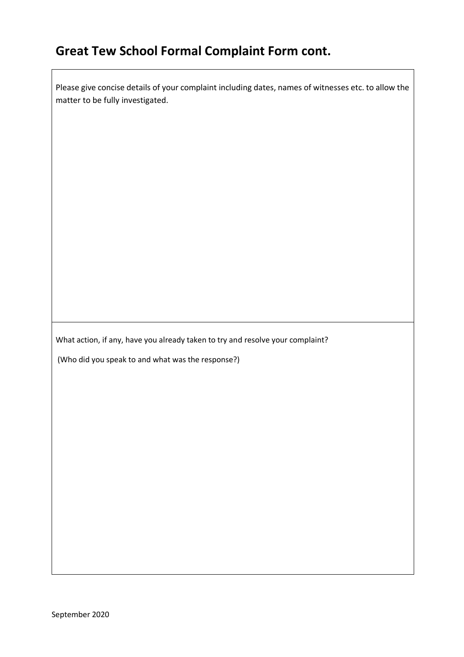# **Great Tew School Formal Complaint Form cont.**

Please give concise details of your complaint including dates, names of witnesses etc. to allow the matter to be fully investigated.

What action, if any, have you already taken to try and resolve your complaint?

(Who did you speak to and what was the response?)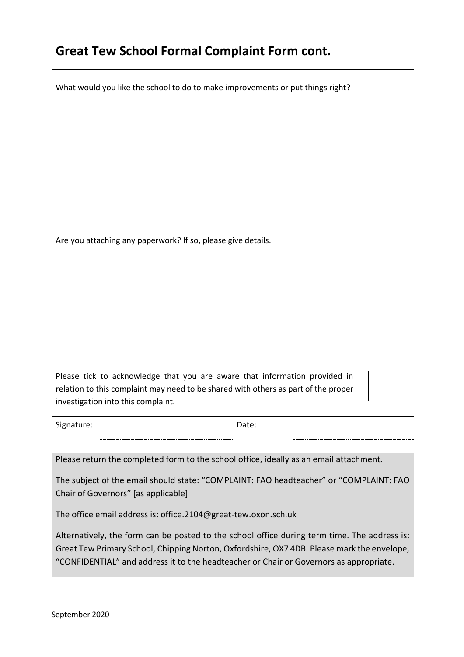## **Great Tew School Formal Complaint Form cont.**

What would you like the school to do to make improvements or put things right?

Are you attaching any paperwork? If so, please give details.

Please tick to acknowledge that you are aware that information provided in relation to this complaint may need to be shared with others as part of the proper investigation into this complaint.

Signature: Date: Date:

Please return the completed form to the school office, ideally as an email attachment.

The subject of the email should state: "COMPLAINT: FAO headteacher" or "COMPLAINT: FAO Chair of Governors" [as applicable]

The office email address is: office.2104@great-tew.oxon.sch.uk

Alternatively, the form can be posted to the school office during term time. The address is: Great Tew Primary School, Chipping Norton, Oxfordshire, OX7 4DB. Please mark the envelope, "CONFIDENTIAL" and address it to the headteacher or Chair or Governors as appropriate.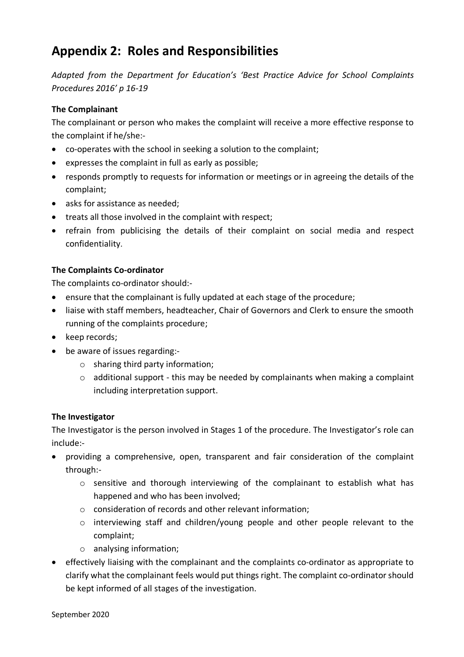## **Appendix 2: Roles and Responsibilities**

*Adapted from the Department for Education's 'Best Practice Advice for School Complaints Procedures 2016' p 16-19*

#### **The Complainant**

The complainant or person who makes the complaint will receive a more effective response to the complaint if he/she:-

- co-operates with the school in seeking a solution to the complaint;
- expresses the complaint in full as early as possible;
- responds promptly to requests for information or meetings or in agreeing the details of the complaint;
- asks for assistance as needed;
- treats all those involved in the complaint with respect;
- refrain from publicising the details of their complaint on social media and respect confidentiality.

#### **The Complaints Co-ordinator**

The complaints co-ordinator should:-

- ensure that the complainant is fully updated at each stage of the procedure;
- liaise with staff members, headteacher, Chair of Governors and Clerk to ensure the smooth running of the complaints procedure;
- keep records;
- be aware of issues regarding:
	- o sharing third party information;
	- $\circ$  additional support this may be needed by complainants when making a complaint including interpretation support.

#### **The Investigator**

The Investigator is the person involved in Stages 1 of the procedure. The Investigator's role can include:-

- providing a comprehensive, open, transparent and fair consideration of the complaint through:
	- o sensitive and thorough interviewing of the complainant to establish what has happened and who has been involved;
	- o consideration of records and other relevant information;
	- o interviewing staff and children/young people and other people relevant to the complaint;
	- o analysing information;
- effectively liaising with the complainant and the complaints co-ordinator as appropriate to clarify what the complainant feels would put things right. The complaint co-ordinator should be kept informed of all stages of the investigation.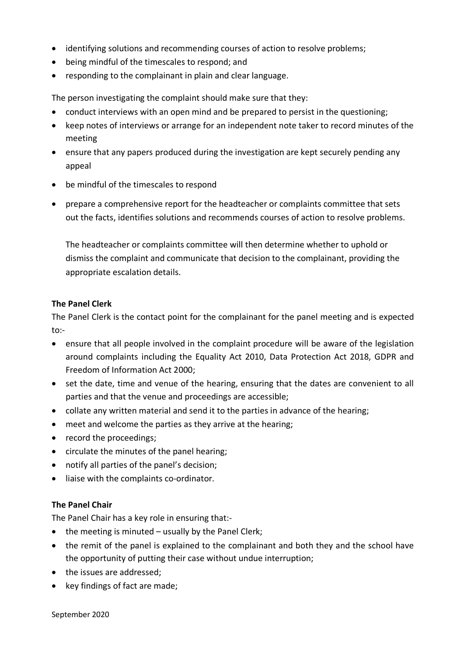- identifying solutions and recommending courses of action to resolve problems;
- being mindful of the timescales to respond; and
- responding to the complainant in plain and clear language.

The person investigating the complaint should make sure that they:

- conduct interviews with an open mind and be prepared to persist in the questioning;
- keep notes of interviews or arrange for an independent note taker to record minutes of the meeting
- ensure that any papers produced during the investigation are kept securely pending any appeal
- be mindful of the timescales to respond
- prepare a comprehensive report for the headteacher or complaints committee that sets out the facts, identifies solutions and recommends courses of action to resolve problems.

The headteacher or complaints committee will then determine whether to uphold or dismiss the complaint and communicate that decision to the complainant, providing the appropriate escalation details.

#### **The Panel Clerk**

The Panel Clerk is the contact point for the complainant for the panel meeting and is expected to:-

- ensure that all people involved in the complaint procedure will be aware of the legislation around complaints including the Equality Act 2010, Data Protection Act 2018, GDPR and Freedom of Information Act 2000;
- set the date, time and venue of the hearing, ensuring that the dates are convenient to all parties and that the venue and proceedings are accessible;
- collate any written material and send it to the parties in advance of the hearing;
- meet and welcome the parties as they arrive at the hearing;
- record the proceedings;
- circulate the minutes of the panel hearing;
- notify all parties of the panel's decision;
- liaise with the complaints co-ordinator.

#### **The Panel Chair**

The Panel Chair has a key role in ensuring that:-

- the meeting is minuted usually by the Panel Clerk;
- the remit of the panel is explained to the complainant and both they and the school have the opportunity of putting their case without undue interruption;
- the issues are addressed;
- key findings of fact are made;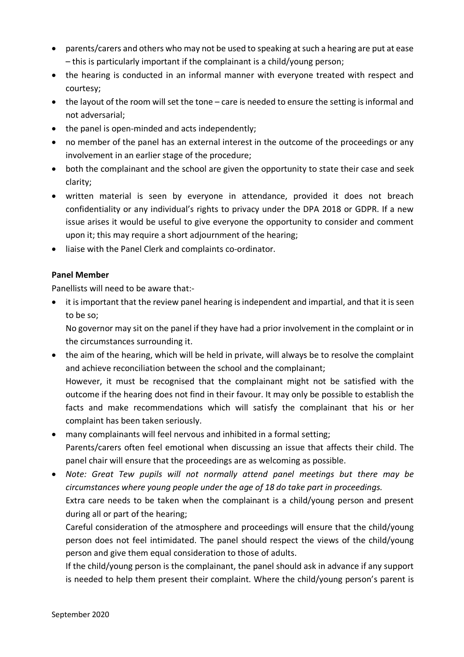- parents/carers and others who may not be used to speaking at such a hearing are put at ease – this is particularly important if the complainant is a child/young person;
- the hearing is conducted in an informal manner with everyone treated with respect and courtesy;
- the layout of the room will set the tone care is needed to ensure the setting is informal and not adversarial;
- the panel is open-minded and acts independently;
- no member of the panel has an external interest in the outcome of the proceedings or any involvement in an earlier stage of the procedure;
- both the complainant and the school are given the opportunity to state their case and seek clarity;
- written material is seen by everyone in attendance, provided it does not breach confidentiality or any individual's rights to privacy under the DPA 2018 or GDPR. If a new issue arises it would be useful to give everyone the opportunity to consider and comment upon it; this may require a short adjournment of the hearing;
- liaise with the Panel Clerk and complaints co-ordinator.

#### **Panel Member**

Panellists will need to be aware that:-

• it is important that the review panel hearing is independent and impartial, and that it is seen to be so;

No governor may sit on the panel if they have had a prior involvement in the complaint or in the circumstances surrounding it.

- the aim of the hearing, which will be held in private, will always be to resolve the complaint and achieve reconciliation between the school and the complainant; However, it must be recognised that the complainant might not be satisfied with the outcome if the hearing does not find in their favour. It may only be possible to establish the facts and make recommendations which will satisfy the complainant that his or her complaint has been taken seriously.
- many complainants will feel nervous and inhibited in a formal setting; Parents/carers often feel emotional when discussing an issue that affects their child. The panel chair will ensure that the proceedings are as welcoming as possible.
- *Note: Great Tew pupils will not normally attend panel meetings but there may be circumstances where young people under the age of 18 do take part in proceedings.* Extra care needs to be taken when the complainant is a child/young person and present during all or part of the hearing;

Careful consideration of the atmosphere and proceedings will ensure that the child/young person does not feel intimidated. The panel should respect the views of the child/young person and give them equal consideration to those of adults.

If the child/young person is the complainant, the panel should ask in advance if any support is needed to help them present their complaint. Where the child/young person's parent is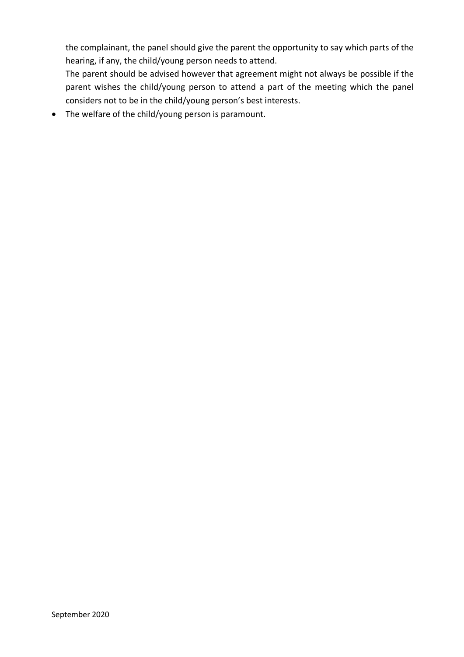the complainant, the panel should give the parent the opportunity to say which parts of the hearing, if any, the child/young person needs to attend.

The parent should be advised however that agreement might not always be possible if the parent wishes the child/young person to attend a part of the meeting which the panel considers not to be in the child/young person's best interests.

• The welfare of the child/young person is paramount.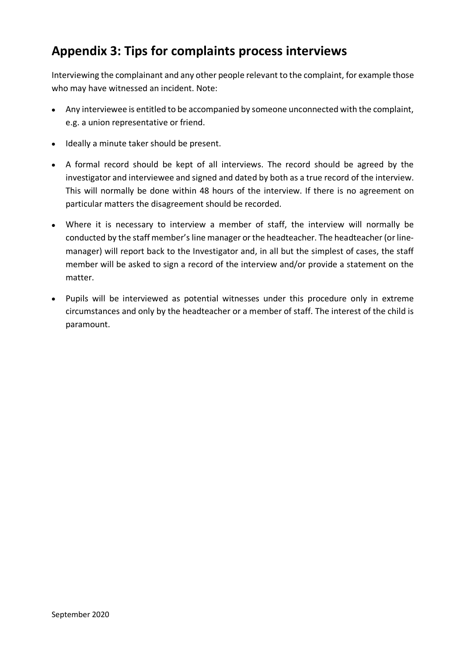# **Appendix 3: Tips for complaints process interviews**

Interviewing the complainant and any other people relevant to the complaint, for example those who may have witnessed an incident. Note:

- Any interviewee is entitled to be accompanied by someone unconnected with the complaint, e.g. a union representative or friend.
- Ideally a minute taker should be present.
- A formal record should be kept of all interviews. The record should be agreed by the investigator and interviewee and signed and dated by both as a true record of the interview. This will normally be done within 48 hours of the interview. If there is no agreement on particular matters the disagreement should be recorded.
- Where it is necessary to interview a member of staff, the interview will normally be conducted by the staff member's line manager or the headteacher. The headteacher (or linemanager) will report back to the Investigator and, in all but the simplest of cases, the staff member will be asked to sign a record of the interview and/or provide a statement on the matter.
- Pupils will be interviewed as potential witnesses under this procedure only in extreme circumstances and only by the headteacher or a member of staff. The interest of the child is paramount.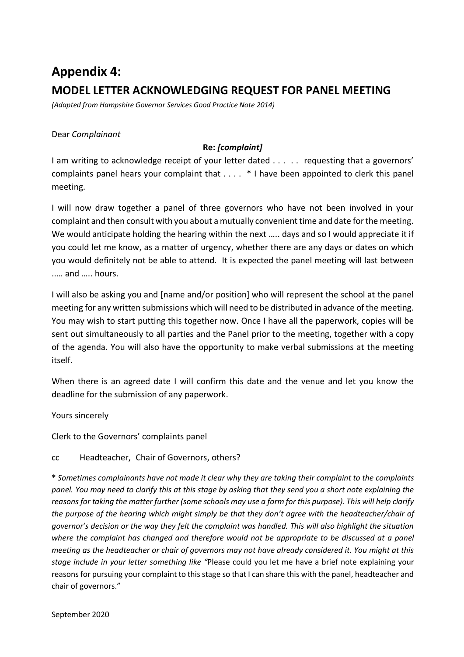# **Appendix 4: MODEL LETTER ACKNOWLEDGING REQUEST FOR PANEL MEETING**

*(Adapted from Hampshire Governor Services Good Practice Note 2014)*

#### Dear *Complainant*

#### **Re:** *[complaint]*

I am writing to acknowledge receipt of your letter dated . . . . . requesting that a governors' complaints panel hears your complaint that . . . . \* I have been appointed to clerk this panel meeting.

I will now draw together a panel of three governors who have not been involved in your complaint and then consult with you about a mutually convenient time and date for the meeting. We would anticipate holding the hearing within the next ….. days and so I would appreciate it if you could let me know, as a matter of urgency, whether there are any days or dates on which you would definitely not be able to attend. It is expected the panel meeting will last between ..… and ….. hours.

I will also be asking you and [name and/or position] who will represent the school at the panel meeting for any written submissions which will need to be distributed in advance of the meeting. You may wish to start putting this together now. Once I have all the paperwork, copies will be sent out simultaneously to all parties and the Panel prior to the meeting, together with a copy of the agenda. You will also have the opportunity to make verbal submissions at the meeting itself.

When there is an agreed date I will confirm this date and the venue and let you know the deadline for the submission of any paperwork.

Yours sincerely

Clerk to the Governors' complaints panel

#### cc Headteacher, Chair of Governors, others?

**\*** *Sometimes complainants have not made it clear why they are taking their complaint to the complaints panel. You may need to clarify this at this stage by asking that they send you a short note explaining the reasons for taking the matter further (some schools may use a form for this purpose). This will help clarify the purpose of the hearing which might simply be that they don't agree with the headteacher/chair of governor's decision or the way they felt the complaint was handled. This will also highlight the situation where the complaint has changed and therefore would not be appropriate to be discussed at a panel meeting as the headteacher or chair of governors may not have already considered it. You might at this stage include in your letter something like "*Please could you let me have a brief note explaining your reasons for pursuing your complaint to this stage so that I can share this with the panel, headteacher and chair of governors."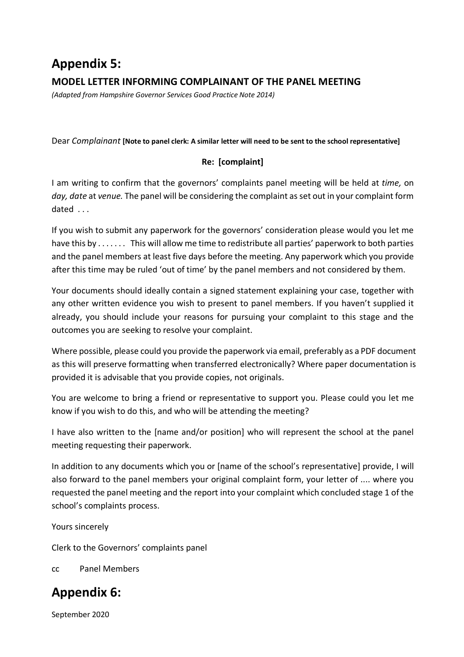# **Appendix 5: MODEL LETTER INFORMING COMPLAINANT OF THE PANEL MEETING**

*(Adapted from Hampshire Governor Services Good Practice Note 2014)*

Dear *Complainant* **[Note to panel clerk: A similar letter will need to be sent to the school representative]**

### **Re: [complaint]**

I am writing to confirm that the governors' complaints panel meeting will be held at *time,* on *day, date* at *venue.* The panel will be considering the complaint as set out in your complaint form dated . . .

If you wish to submit any paperwork for the governors' consideration please would you let me have this by . . . . . . . This will allow me time to redistribute all parties' paperwork to both parties and the panel members at least five days before the meeting. Any paperwork which you provide after this time may be ruled 'out of time' by the panel members and not considered by them.

Your documents should ideally contain a signed statement explaining your case, together with any other written evidence you wish to present to panel members. If you haven't supplied it already, you should include your reasons for pursuing your complaint to this stage and the outcomes you are seeking to resolve your complaint.

Where possible, please could you provide the paperwork via email, preferably as a PDF document as this will preserve formatting when transferred electronically? Where paper documentation is provided it is advisable that you provide copies, not originals.

You are welcome to bring a friend or representative to support you. Please could you let me know if you wish to do this, and who will be attending the meeting?

I have also written to the [name and/or position] who will represent the school at the panel meeting requesting their paperwork.

In addition to any documents which you or [name of the school's representative] provide, I will also forward to the panel members your original complaint form, your letter of .... where you requested the panel meeting and the report into your complaint which concluded stage 1 of the school's complaints process.

Yours sincerely

Clerk to the Governors' complaints panel

cc Panel Members

# **Appendix 6:**

September 2020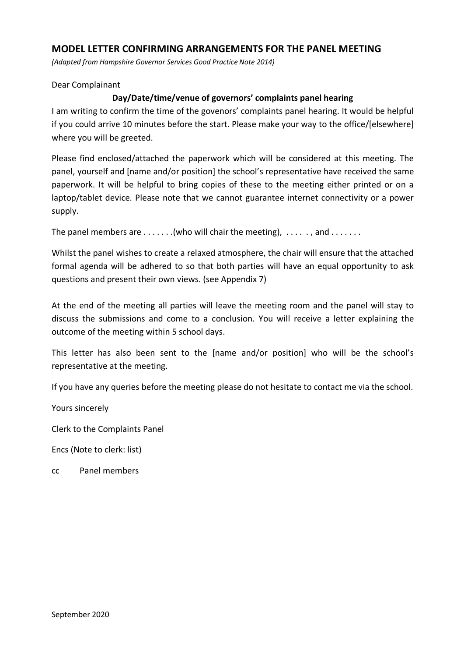#### **MODEL LETTER CONFIRMING ARRANGEMENTS FOR THE PANEL MEETING**

*(Adapted from Hampshire Governor Services Good Practice Note 2014)*

#### Dear Complainant

#### **Day/Date/time/venue of governors' complaints panel hearing**

I am writing to confirm the time of the govenors' complaints panel hearing. It would be helpful if you could arrive 10 minutes before the start. Please make your way to the office/[elsewhere] where you will be greeted.

Please find enclosed/attached the paperwork which will be considered at this meeting. The panel, yourself and [name and/or position] the school's representative have received the same paperwork. It will be helpful to bring copies of these to the meeting either printed or on a laptop/tablet device. Please note that we cannot guarantee internet connectivity or a power supply.

The panel members are  $\dots\dots$  (who will chair the meeting),  $\dots\dots$ , and  $\dots\dots$ .

Whilst the panel wishes to create a relaxed atmosphere, the chair will ensure that the attached formal agenda will be adhered to so that both parties will have an equal opportunity to ask questions and present their own views. (see Appendix 7)

At the end of the meeting all parties will leave the meeting room and the panel will stay to discuss the submissions and come to a conclusion. You will receive a letter explaining the outcome of the meeting within 5 school days.

This letter has also been sent to the [name and/or position] who will be the school's representative at the meeting.

If you have any queries before the meeting please do not hesitate to contact me via the school.

Yours sincerely

Clerk to the Complaints Panel

Encs (Note to clerk: list)

cc Panel members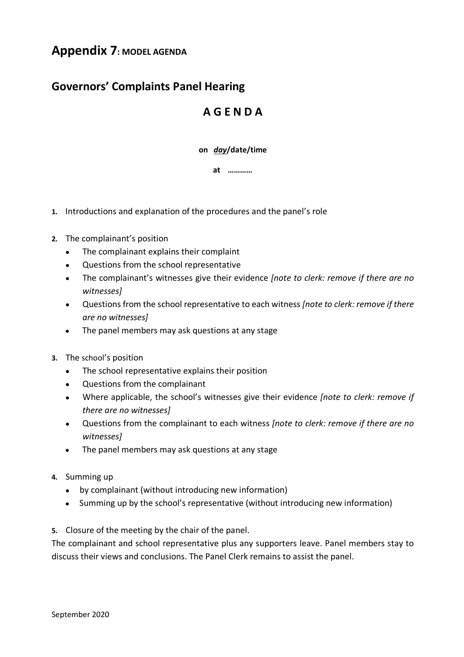## **Appendix 7: MODEL AGENDA**

## **Governors' Complaints Panel Hearing**

## **A G E N D A**

**on** *day***/date/time**

**at …………**

- **1.** Introductions and explanation of the procedures and the panel's role
- **2.** The complainant's position
	- The complainant explains their complaint
	- Questions from the school representative
	- The complainant's witnesses give their evidence *[note to clerk: remove if there are no witnesses]*
	- Questions from the school representative to each witness *[note to clerk: remove if there are no witnesses]*
	- The panel members may ask questions at any stage
- **3.** The school's position
	- The school representative explains their position
	- Questions from the complainant
	- Where applicable, the school's witnesses give their evidence *[note to clerk: remove if there are no witnesses]*
	- Questions from the complainant to each witness *[note to clerk: remove if there are no witnesses]*
	- The panel members may ask questions at any stage
- **4.** Summing up
	- by complainant (without introducing new information)
	- Summing up by the school's representative (without introducing new information)
- **5.** Closure of the meeting by the chair of the panel.

The complainant and school representative plus any supporters leave. Panel members stay to discuss their views and conclusions. The Panel Clerk remains to assist the panel.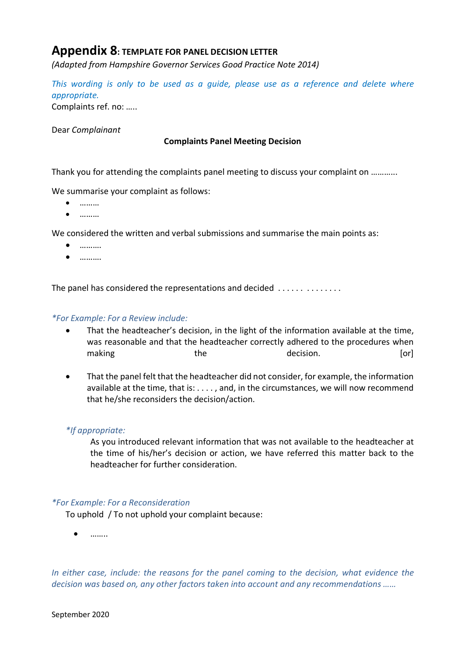## **Appendix 8: TEMPLATE FOR PANEL DECISION LETTER**

*(Adapted from Hampshire Governor Services Good Practice Note 2014)*

*This wording is only to be used as a guide, please use as a reference and delete where appropriate.*

Complaints ref. no: …..

Dear *Complainant*

#### **Complaints Panel Meeting Decision**

Thank you for attending the complaints panel meeting to discuss your complaint on ………...

We summarise your complaint as follows:

- $\bullet$  ………
- ………

We considered the written and verbal submissions and summarise the main points as:

- ……….
- ……….

The panel has considered the representations and decided ..............

#### *\*For Example: For a Review include:*

- That the headteacher's decision, in the light of the information available at the time, was reasonable and that the headteacher correctly adhered to the procedures when making the the decision. The decision of  $\alpha$
- That the panel felt that the headteacher did not consider, for example, the information available at the time, that is: . . . . , and, in the circumstances, we will now recommend that he/she reconsiders the decision/action.

#### *\*If appropriate:*

As you introduced relevant information that was not available to the headteacher at the time of his/her's decision or action, we have referred this matter back to the headteacher for further consideration.

#### *\*For Example: For a Reconsideration*

To uphold / To not uphold your complaint because:

• ……..

*In either case, include: the reasons for the panel coming to the decision, what evidence the decision was based on, any other factors taken into account and any recommendations ……*